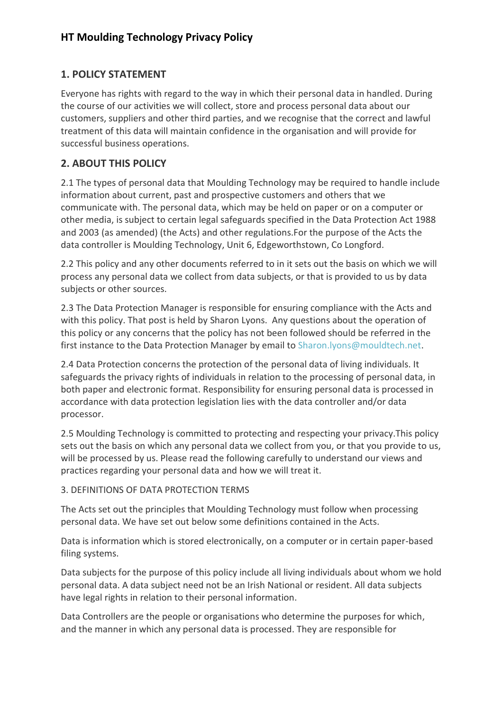## **1. POLICY STATEMENT**

Everyone has rights with regard to the way in which their personal data in handled. During the course of our activities we will collect, store and process personal data about our customers, suppliers and other third parties, and we recognise that the correct and lawful treatment of this data will maintain confidence in the organisation and will provide for successful business operations.

## **2. ABOUT THIS POLICY**

2.1 The types of personal data that Moulding Technology may be required to handle include information about current, past and prospective customers and others that we communicate with. The personal data, which may be held on paper or on a computer or other media, is subject to certain legal safeguards specified in the Data Protection Act 1988 and 2003 (as amended) (the Acts) and other regulations.For the purpose of the Acts the data controller is Moulding Technology, Unit 6, Edgeworthstown, Co Longford.

2.2 This policy and any other documents referred to in it sets out the basis on which we will process any personal data we collect from data subjects, or that is provided to us by data subjects or other sources.

2.3 The Data Protection Manager is responsible for ensuring compliance with the Acts and with this policy. That post is held by Sharon Lyons. Any questions about the operation of this policy or any concerns that the policy has not been followed should be referred in the first instance to the Data Protection Manager by email to [Sharon.lyons@mouldtech.net.](mailto:Sharon.lyons@mouldtech.net)

2.4 Data Protection concerns the protection of the personal data of living individuals. It safeguards the privacy rights of individuals in relation to the processing of personal data, in both paper and electronic format. Responsibility for ensuring personal data is processed in accordance with data protection legislation lies with the data controller and/or data processor.

2.5 Moulding Technology is committed to protecting and respecting your privacy.This policy sets out the basis on which any personal data we collect from you, or that you provide to us, will be processed by us. Please read the following carefully to understand our views and practices regarding your personal data and how we will treat it.

#### 3. DEFINITIONS OF DATA PROTECTION TERMS

The Acts set out the principles that Moulding Technology must follow when processing personal data. We have set out below some definitions contained in the Acts.

Data is information which is stored electronically, on a computer or in certain paper-based filing systems.

Data subjects for the purpose of this policy include all living individuals about whom we hold personal data. A data subject need not be an Irish National or resident. All data subjects have legal rights in relation to their personal information.

Data Controllers are the people or organisations who determine the purposes for which, and the manner in which any personal data is processed. They are responsible for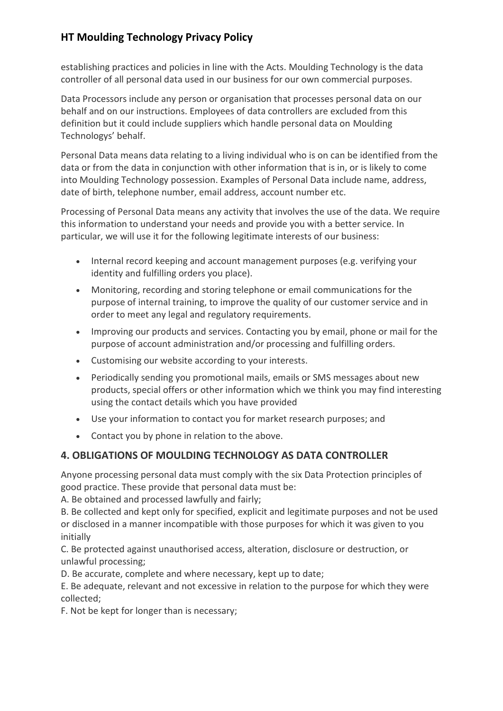establishing practices and policies in line with the Acts. Moulding Technology is the data controller of all personal data used in our business for our own commercial purposes.

Data Processors include any person or organisation that processes personal data on our behalf and on our instructions. Employees of data controllers are excluded from this definition but it could include suppliers which handle personal data on Moulding Technologys' behalf.

Personal Data means data relating to a living individual who is on can be identified from the data or from the data in conjunction with other information that is in, or is likely to come into Moulding Technology possession. Examples of Personal Data include name, address, date of birth, telephone number, email address, account number etc.

Processing of Personal Data means any activity that involves the use of the data. We require this information to understand your needs and provide you with a better service. In particular, we will use it for the following legitimate interests of our business:

- Internal record keeping and account management purposes (e.g. verifying your identity and fulfilling orders you place).
- Monitoring, recording and storing telephone or email communications for the purpose of internal training, to improve the quality of our customer service and in order to meet any legal and regulatory requirements.
- Improving our products and services. Contacting you by email, phone or mail for the purpose of account administration and/or processing and fulfilling orders.
- Customising our website according to your interests.
- Periodically sending you promotional mails, emails or SMS messages about new products, special offers or other information which we think you may find interesting using the contact details which you have provided
- Use your information to contact you for market research purposes; and
- Contact you by phone in relation to the above.

#### **4. OBLIGATIONS OF MOULDING TECHNOLOGY AS DATA CONTROLLER**

Anyone processing personal data must comply with the six Data Protection principles of good practice. These provide that personal data must be:

A. Be obtained and processed lawfully and fairly;

B. Be collected and kept only for specified, explicit and legitimate purposes and not be used or disclosed in a manner incompatible with those purposes for which it was given to you initially

C. Be protected against unauthorised access, alteration, disclosure or destruction, or unlawful processing;

D. Be accurate, complete and where necessary, kept up to date;

E. Be adequate, relevant and not excessive in relation to the purpose for which they were collected;

F. Not be kept for longer than is necessary;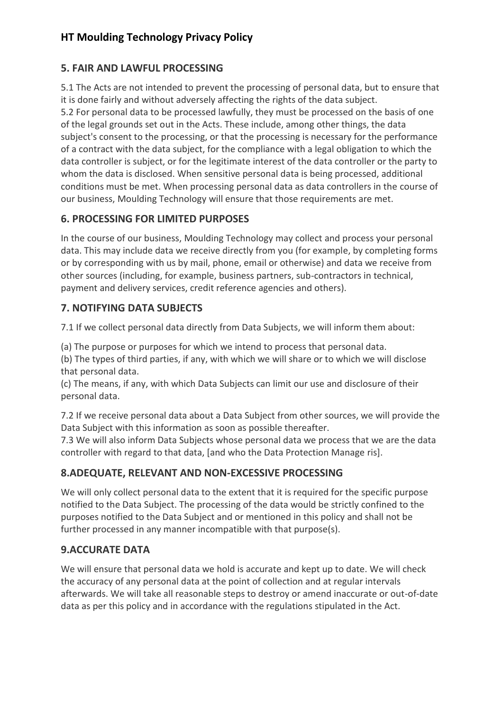### **5. FAIR AND LAWFUL PROCESSING**

5.1 The Acts are not intended to prevent the processing of personal data, but to ensure that it is done fairly and without adversely affecting the rights of the data subject.

5.2 For personal data to be processed lawfully, they must be processed on the basis of one of the legal grounds set out in the Acts. These include, among other things, the data subject's consent to the processing, or that the processing is necessary for the performance of a contract with the data subject, for the compliance with a legal obligation to which the data controller is subject, or for the legitimate interest of the data controller or the party to whom the data is disclosed. When sensitive personal data is being processed, additional conditions must be met. When processing personal data as data controllers in the course of our business, Moulding Technology will ensure that those requirements are met.

### **6. PROCESSING FOR LIMITED PURPOSES**

In the course of our business, Moulding Technology may collect and process your personal data. This may include data we receive directly from you (for example, by completing forms or by corresponding with us by mail, phone, email or otherwise) and data we receive from other sources (including, for example, business partners, sub-contractors in technical, payment and delivery services, credit reference agencies and others).

#### **7. NOTIFYING DATA SUBJECTS**

7.1 If we collect personal data directly from Data Subjects, we will inform them about:

(a) The purpose or purposes for which we intend to process that personal data.

(b) The types of third parties, if any, with which we will share or to which we will disclose that personal data.

(c) The means, if any, with which Data Subjects can limit our use and disclosure of their personal data.

7.2 If we receive personal data about a Data Subject from other sources, we will provide the Data Subject with this information as soon as possible thereafter.

7.3 We will also inform Data Subjects whose personal data we process that we are the data controller with regard to that data, [and who the Data Protection Manage ris].

### **8.ADEQUATE, RELEVANT AND NON-EXCESSIVE PROCESSING**

We will only collect personal data to the extent that it is required for the specific purpose notified to the Data Subject. The processing of the data would be strictly confined to the purposes notified to the Data Subject and or mentioned in this policy and shall not be further processed in any manner incompatible with that purpose(s).

### **9.ACCURATE DATA**

We will ensure that personal data we hold is accurate and kept up to date. We will check the accuracy of any personal data at the point of collection and at regular intervals afterwards. We will take all reasonable steps to destroy or amend inaccurate or out-of-date data as per this policy and in accordance with the regulations stipulated in the Act.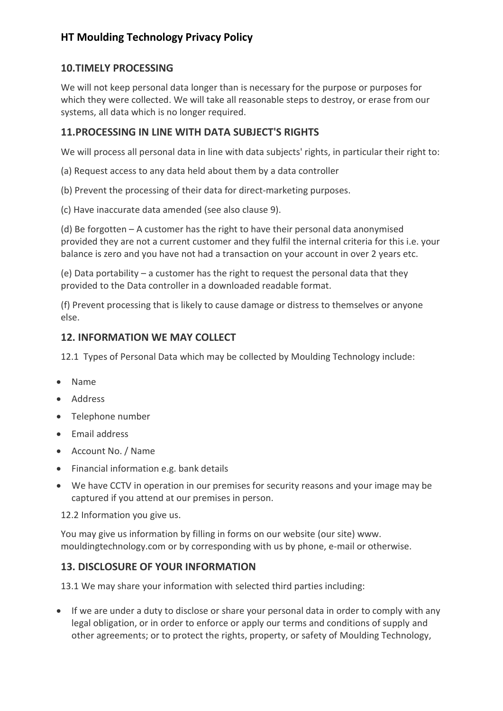#### **10.TIMELY PROCESSING**

We will not keep personal data longer than is necessary for the purpose or purposes for which they were collected. We will take all reasonable steps to destroy, or erase from our systems, all data which is no longer required.

#### **11.PROCESSING IN LINE WITH DATA SUBJECT'S RIGHTS**

We will process all personal data in line with data subjects' rights, in particular their right to:

- (a) Request access to any data held about them by a data controller
- (b) Prevent the processing of their data for direct-marketing purposes.
- (c) Have inaccurate data amended (see also clause 9).

(d) Be forgotten – A customer has the right to have their personal data anonymised provided they are not a current customer and they fulfil the internal criteria for this i.e. your balance is zero and you have not had a transaction on your account in over 2 years etc.

(e) Data portability – a customer has the right to request the personal data that they provided to the Data controller in a downloaded readable format.

(f) Prevent processing that is likely to cause damage or distress to themselves or anyone else.

#### **12. INFORMATION WE MAY COLLECT**

12.1 Types of Personal Data which may be collected by Moulding Technology include:

- Name
- Address
- Telephone number
- Email address
- Account No. / Name
- Financial information e.g. bank details
- We have CCTV in operation in our premises for security reasons and your image may be captured if you attend at our premises in person.

12.2 Information you give us.

You may give us information by filling in forms on our website (our site) www. mouldingtechnology.com or by corresponding with us by phone, e-mail or otherwise.

#### **13. DISCLOSURE OF YOUR INFORMATION**

13.1 We may share your information with selected third parties including:

• If we are under a duty to disclose or share your personal data in order to comply with any legal obligation, or in order to enforce or apply our terms and conditions of supply and other agreements; or to protect the rights, property, or safety of Moulding Technology,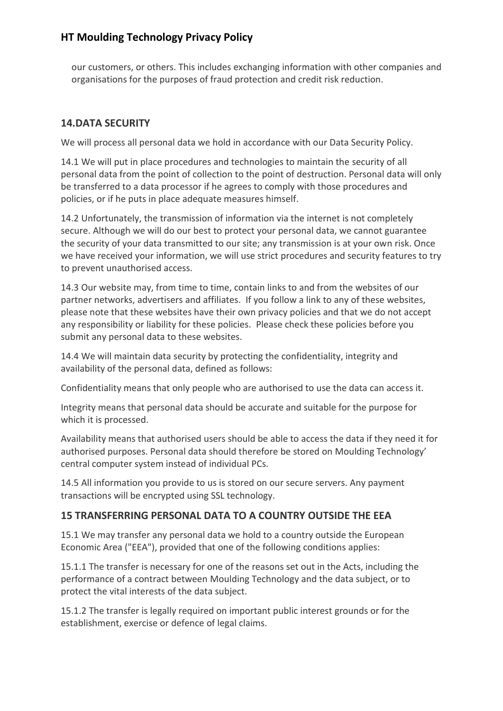our customers, or others. This includes exchanging information with other companies and organisations for the purposes of fraud protection and credit risk reduction.

## **14.DATA SECURITY**

We will process all personal data we hold in accordance with our Data Security Policy.

14.1 We will put in place procedures and technologies to maintain the security of all personal data from the point of collection to the point of destruction. Personal data will only be transferred to a data processor if he agrees to comply with those procedures and policies, or if he puts in place adequate measures himself.

14.2 Unfortunately, the transmission of information via the internet is not completely secure. Although we will do our best to protect your personal data, we cannot guarantee the security of your data transmitted to our site; any transmission is at your own risk. Once we have received your information, we will use strict procedures and security features to try to prevent unauthorised access.

14.3 Our website may, from time to time, contain links to and from the websites of our partner networks, advertisers and affiliates. If you follow a link to any of these websites, please note that these websites have their own privacy policies and that we do not accept any responsibility or liability for these policies. Please check these policies before you submit any personal data to these websites.

14.4 We will maintain data security by protecting the confidentiality, integrity and availability of the personal data, defined as follows:

Confidentiality means that only people who are authorised to use the data can access it.

Integrity means that personal data should be accurate and suitable for the purpose for which it is processed.

Availability means that authorised users should be able to access the data if they need it for authorised purposes. Personal data should therefore be stored on Moulding Technology' central computer system instead of individual PCs.

14.5 All information you provide to us is stored on our secure servers. Any payment transactions will be encrypted using SSL technology.

### **15 TRANSFERRING PERSONAL DATA TO A COUNTRY OUTSIDE THE EEA**

15.1 We may transfer any personal data we hold to a country outside the European Economic Area ("EEA"), provided that one of the following conditions applies:

15.1.1 The transfer is necessary for one of the reasons set out in the Acts, including the performance of a contract between Moulding Technology and the data subject, or to protect the vital interests of the data subject.

15.1.2 The transfer is legally required on important public interest grounds or for the establishment, exercise or defence of legal claims.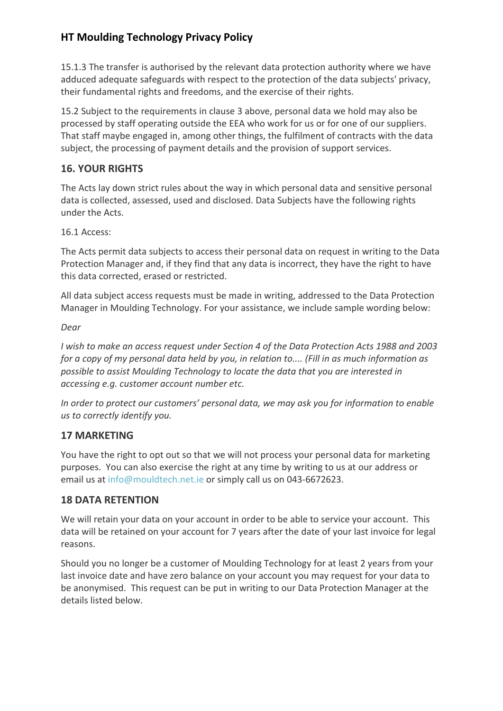15.1.3 The transfer is authorised by the relevant data protection authority where we have adduced adequate safeguards with respect to the protection of the data subjects' privacy, their fundamental rights and freedoms, and the exercise of their rights.

15.2 Subject to the requirements in clause 3 above, personal data we hold may also be processed by staff operating outside the EEA who work for us or for one of our suppliers. That staff maybe engaged in, among other things, the fulfilment of contracts with the data subject, the processing of payment details and the provision of support services.

### **16. YOUR RIGHTS**

The Acts lay down strict rules about the way in which personal data and sensitive personal data is collected, assessed, used and disclosed. Data Subjects have the following rights under the Acts.

16.1 Access:

The Acts permit data subjects to access their personal data on request in writing to the Data Protection Manager and, if they find that any data is incorrect, they have the right to have this data corrected, erased or restricted.

All data subject access requests must be made in writing, addressed to the Data Protection Manager in Moulding Technology. For your assistance, we include sample wording below:

#### *Dear*

*I wish to make an access request under Section 4 of the Data Protection Acts 1988 and 2003 for a copy of my personal data held by you, in relation to.... (Fill in as much information as possible to assist Moulding Technology to locate the data that you are interested in accessing e.g. customer account number etc.*

*In order to protect our customers' personal data, we may ask you for information to enable us to correctly identify you.*

#### **17 MARKETING**

You have the right to opt out so that we will not process your personal data for marketing purposes. You can also exercise the right at any time by writing to us at our address or email us a[t info@mouldtech.net.ie](mailto:info@mouldtech.net.ie) or simply call us on 043-6672623.

#### **18 DATA RETENTION**

We will retain your data on your account in order to be able to service your account. This data will be retained on your account for 7 years after the date of your last invoice for legal reasons.

Should you no longer be a customer of Moulding Technology for at least 2 years from your last invoice date and have zero balance on your account you may request for your data to be anonymised. This request can be put in writing to our Data Protection Manager at the details listed below.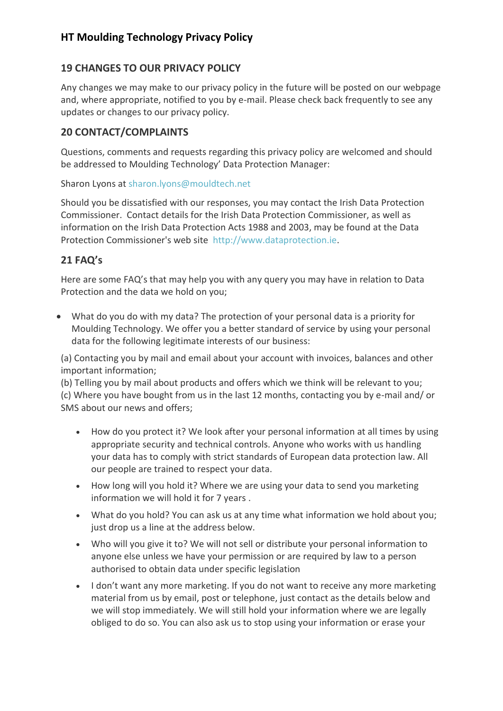### **19 CHANGES TO OUR PRIVACY POLICY**

Any changes we may make to our privacy policy in the future will be posted on our webpage and, where appropriate, notified to you by e-mail. Please check back frequently to see any updates or changes to our privacy policy.

#### **20 CONTACT/COMPLAINTS**

Questions, comments and requests regarding this privacy policy are welcomed and should be addressed to Moulding Technology' Data Protection Manager:

Sharon Lyons at [sharon.lyons@mouldtech.net](mailto:sharon.lyons@mouldtech.net)

Should you be dissatisfied with our responses, you may contact the Irish Data Protection Commissioner. Contact details for the Irish Data Protection Commissioner, as well as information on the Irish Data Protection Acts 1988 and 2003, may be found at the Data Protection Commissioner's web site [http://www.dataprotection.ie.](http://www.dataprotection.ie/)

### **21 FAQ's**

Here are some FAQ's that may help you with any query you may have in relation to Data Protection and the data we hold on you;

• What do you do with my data? The protection of your personal data is a priority for Moulding Technology. We offer you a better standard of service by using your personal data for the following legitimate interests of our business:

(a) Contacting you by mail and email about your account with invoices, balances and other important information;

(b) Telling you by mail about products and offers which we think will be relevant to you; (c) Where you have bought from us in the last 12 months, contacting you by e-mail and/ or SMS about our news and offers;

- How do you protect it? We look after your personal information at all times by using appropriate security and technical controls. Anyone who works with us handling your data has to comply with strict standards of European data protection law. All our people are trained to respect your data.
- How long will you hold it? Where we are using your data to send you marketing information we will hold it for 7 years .
- What do you hold? You can ask us at any time what information we hold about you; just drop us a line at the address below.
- Who will you give it to? We will not sell or distribute your personal information to anyone else unless we have your permission or are required by law to a person authorised to obtain data under specific legislation
- I don't want any more marketing. If you do not want to receive any more marketing material from us by email, post or telephone, just contact as the details below and we will stop immediately. We will still hold your information where we are legally obliged to do so. You can also ask us to stop using your information or erase your